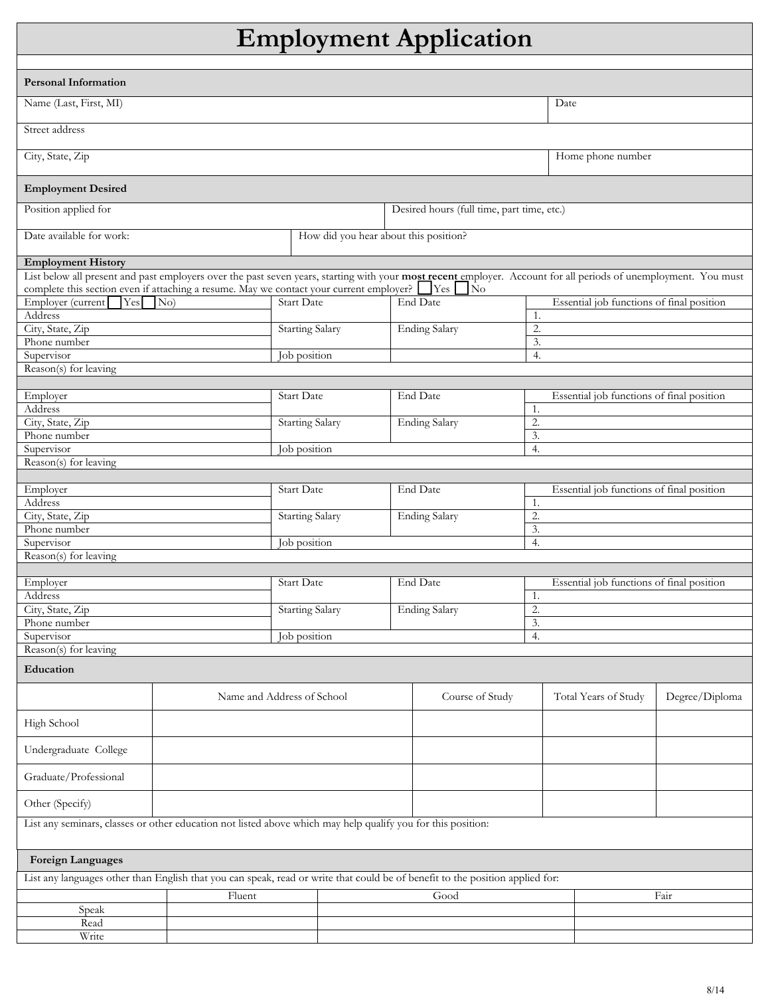## Employment Application

Г

| <b>Employment Application</b>                                                                                                                                                                                                                                  |        |                                       |                                            |                       |                 |                                                 |                                           |                |  |  |
|----------------------------------------------------------------------------------------------------------------------------------------------------------------------------------------------------------------------------------------------------------------|--------|---------------------------------------|--------------------------------------------|-----------------------|-----------------|-------------------------------------------------|-------------------------------------------|----------------|--|--|
|                                                                                                                                                                                                                                                                |        |                                       |                                            |                       |                 |                                                 |                                           |                |  |  |
| <b>Personal Information</b>                                                                                                                                                                                                                                    |        |                                       |                                            |                       |                 |                                                 |                                           |                |  |  |
| Name (Last, First, MI)                                                                                                                                                                                                                                         |        |                                       |                                            |                       |                 |                                                 | Date                                      |                |  |  |
| Street address                                                                                                                                                                                                                                                 |        |                                       |                                            |                       |                 |                                                 |                                           |                |  |  |
| City, State, Zip                                                                                                                                                                                                                                               |        |                                       |                                            |                       |                 | Home phone number                               |                                           |                |  |  |
| <b>Employment Desired</b>                                                                                                                                                                                                                                      |        |                                       |                                            |                       |                 |                                                 |                                           |                |  |  |
| Position applied for                                                                                                                                                                                                                                           |        |                                       | Desired hours (full time, part time, etc.) |                       |                 |                                                 |                                           |                |  |  |
| Date available for work:                                                                                                                                                                                                                                       |        | How did you hear about this position? |                                            |                       |                 |                                                 |                                           |                |  |  |
| <b>Employment History</b>                                                                                                                                                                                                                                      |        |                                       |                                            |                       |                 |                                                 |                                           |                |  |  |
| List below all present and past employers over the past seven years, starting with your most recent employer. Account for all periods of unemployment. You must<br>complete this section even if attaching a resume. May we contact your current employer? See |        |                                       |                                            |                       |                 |                                                 |                                           |                |  |  |
| Employer (current<br>Yes                                                                                                                                                                                                                                       | No)    | <b>Start Date</b>                     |                                            | No<br><b>End Date</b> |                 |                                                 | Essential job functions of final position |                |  |  |
| Address                                                                                                                                                                                                                                                        |        |                                       |                                            |                       |                 | 1.                                              |                                           |                |  |  |
| City, State, Zip                                                                                                                                                                                                                                               |        | Starting Salary                       |                                            | <b>Ending Salary</b>  |                 | 2.                                              |                                           |                |  |  |
| Phone number                                                                                                                                                                                                                                                   |        |                                       |                                            |                       |                 | 3.                                              |                                           |                |  |  |
| Supervisor                                                                                                                                                                                                                                                     |        | Job position                          |                                            |                       |                 | 4.                                              |                                           |                |  |  |
| Reason(s) for leaving                                                                                                                                                                                                                                          |        |                                       |                                            |                       |                 |                                                 |                                           |                |  |  |
| Employer                                                                                                                                                                                                                                                       |        | <b>Start Date</b>                     |                                            | End Date              |                 |                                                 |                                           |                |  |  |
| Address                                                                                                                                                                                                                                                        |        |                                       |                                            |                       |                 | 1.                                              | Essential job functions of final position |                |  |  |
| City, State, Zip                                                                                                                                                                                                                                               |        | <b>Starting Salary</b>                |                                            | <b>Ending Salary</b>  |                 | 2.                                              |                                           |                |  |  |
| Phone number                                                                                                                                                                                                                                                   |        |                                       |                                            |                       |                 | 3.                                              |                                           |                |  |  |
| Supervisor                                                                                                                                                                                                                                                     |        | Job position                          |                                            |                       |                 | 4.                                              |                                           |                |  |  |
| Reason(s) for leaving                                                                                                                                                                                                                                          |        |                                       |                                            |                       |                 |                                                 |                                           |                |  |  |
|                                                                                                                                                                                                                                                                |        |                                       |                                            |                       |                 |                                                 |                                           |                |  |  |
| Employer                                                                                                                                                                                                                                                       |        | <b>Start Date</b>                     |                                            | End Date              |                 |                                                 | Essential job functions of final position |                |  |  |
| Address                                                                                                                                                                                                                                                        |        |                                       |                                            |                       |                 | 1.                                              |                                           |                |  |  |
| City, State, Zip                                                                                                                                                                                                                                               |        | <b>Starting Salary</b>                |                                            | <b>Ending Salary</b>  |                 | 2.                                              |                                           |                |  |  |
| Phone number                                                                                                                                                                                                                                                   |        |                                       |                                            | 3.                    |                 |                                                 |                                           |                |  |  |
| Supervisor<br>Job position                                                                                                                                                                                                                                     |        |                                       |                                            |                       |                 | 4.                                              |                                           |                |  |  |
| Reason(s) for leaving                                                                                                                                                                                                                                          |        |                                       |                                            |                       |                 |                                                 |                                           |                |  |  |
|                                                                                                                                                                                                                                                                |        | <b>Start Date</b>                     |                                            |                       |                 |                                                 |                                           |                |  |  |
| Employer<br>Address                                                                                                                                                                                                                                            |        |                                       |                                            | End Date              |                 | Essential job functions of final position<br>1. |                                           |                |  |  |
| City, State, Zip                                                                                                                                                                                                                                               |        | <b>Starting Salary</b>                |                                            | <b>Ending Salary</b>  |                 | $\overline{2}$ .                                |                                           |                |  |  |
| Phone number                                                                                                                                                                                                                                                   |        |                                       |                                            |                       | 3.              |                                                 |                                           |                |  |  |
| Supervisor                                                                                                                                                                                                                                                     |        | Job position                          |                                            |                       | 4.              |                                                 |                                           |                |  |  |
| Reason(s) for leaving                                                                                                                                                                                                                                          |        |                                       |                                            |                       |                 |                                                 |                                           |                |  |  |
| Education                                                                                                                                                                                                                                                      |        |                                       |                                            |                       |                 |                                                 |                                           |                |  |  |
|                                                                                                                                                                                                                                                                |        | Name and Address of School            |                                            |                       | Course of Study |                                                 | Total Years of Study                      | Degree/Diploma |  |  |
| High School                                                                                                                                                                                                                                                    |        |                                       |                                            |                       |                 |                                                 |                                           |                |  |  |
| Undergraduate College                                                                                                                                                                                                                                          |        |                                       |                                            |                       |                 |                                                 |                                           |                |  |  |
| Graduate/Professional                                                                                                                                                                                                                                          |        |                                       |                                            |                       |                 |                                                 |                                           |                |  |  |
| Other (Specify)                                                                                                                                                                                                                                                |        |                                       |                                            |                       |                 |                                                 |                                           |                |  |  |
| List any seminars, classes or other education not listed above which may help qualify you for this position:                                                                                                                                                   |        |                                       |                                            |                       |                 |                                                 |                                           |                |  |  |
| <b>Foreign Languages</b>                                                                                                                                                                                                                                       |        |                                       |                                            |                       |                 |                                                 |                                           |                |  |  |
| List any languages other than English that you can speak, read or write that could be of benefit to the position applied for:                                                                                                                                  |        |                                       |                                            |                       |                 |                                                 |                                           |                |  |  |
|                                                                                                                                                                                                                                                                | Fluent |                                       |                                            | Good                  |                 |                                                 | Fair                                      |                |  |  |
| Speak                                                                                                                                                                                                                                                          |        |                                       |                                            |                       |                 |                                                 |                                           |                |  |  |
| Read                                                                                                                                                                                                                                                           |        |                                       |                                            |                       |                 |                                                 |                                           |                |  |  |
| Write                                                                                                                                                                                                                                                          |        |                                       |                                            |                       |                 |                                                 |                                           |                |  |  |

┓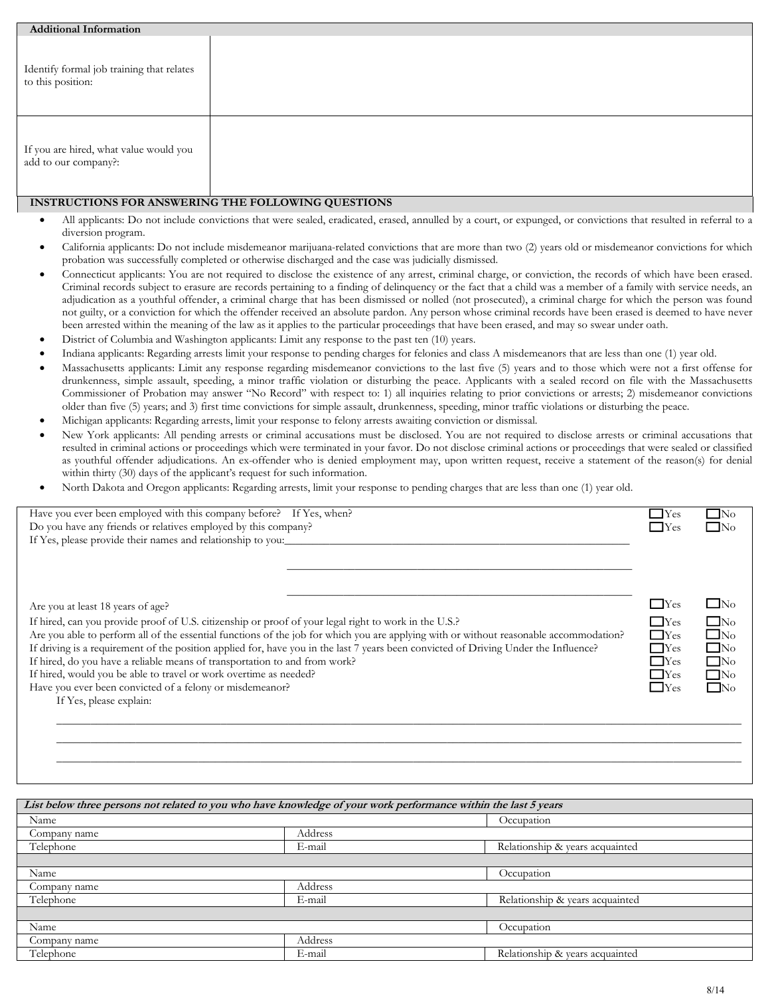| <b>Additional Information</b>                                  |  |
|----------------------------------------------------------------|--|
| Identify formal job training that relates<br>to this position: |  |
| If you are hired, what value would you<br>add to our company?: |  |

## INSTRUCTIONS FOR ANSWERING THE FOLLOWING QUESTIONS

- All applicants: Do not include convictions that were sealed, eradicated, erased, annulled by a court, or expunged, or convictions that resulted in referral to a diversion program.
- California applicants: Do not include misdemeanor marijuana-related convictions that are more than two (2) years old or misdemeanor convictions for which probation was successfully completed or otherwise discharged and the case was judicially dismissed.
- Connecticut applicants: You are not required to disclose the existence of any arrest, criminal charge, or conviction, the records of which have been erased. Criminal records subject to erasure are records pertaining to a finding of delinquency or the fact that a child was a member of a family with service needs, an adjudication as a youthful offender, a criminal charge that has been dismissed or nolled (not prosecuted), a criminal charge for which the person was found not guilty, or a conviction for which the offender received an absolute pardon. Any person whose criminal records have been erased is deemed to have never been arrested within the meaning of the law as it applies to the particular proceedings that have been erased, and may so swear under oath.
- District of Columbia and Washington applicants: Limit any response to the past ten (10) years.
- Indiana applicants: Regarding arrests limit your response to pending charges for felonies and class A misdemeanors that are less than one (1) year old.
- Massachusetts applicants: Limit any response regarding misdemeanor convictions to the last five (5) years and to those which were not a first offense for drunkenness, simple assault, speeding, a minor traffic violation or disturbing the peace. Applicants with a sealed record on file with the Massachusetts Commissioner of Probation may answer "No Record" with respect to: 1) all inquiries relating to prior convictions or arrests; 2) misdemeanor convictions older than five (5) years; and 3) first time convictions for simple assault, drunkenness, speeding, minor traffic violations or disturbing the peace.
- Michigan applicants: Regarding arrests, limit your response to felony arrests awaiting conviction or dismissal.
- New York applicants: All pending arrests or criminal accusations must be disclosed. You are not required to disclose arrests or criminal accusations that resulted in criminal actions or proceedings which were terminated in your favor. Do not disclose criminal actions or proceedings that were sealed or classified as youthful offender adjudications. An ex-offender who is denied employment may, upon written request, receive a statement of the reason(s) for denial within thirty (30) days of the applicant's request for such information.
- North Dakota and Oregon applicants: Regarding arrests, limit your response to pending charges that are less than one (1) year old.

| Have you ever been employed with this company before? If Yes, when?<br>Do you have any friends or relatives employed by this company?  | <b>T</b> Yes<br>$\Gamma$ Yes | $\Box$ No<br>$\Box$ No |
|----------------------------------------------------------------------------------------------------------------------------------------|------------------------------|------------------------|
| If Yes, please provide their names and relationship to you:                                                                            |                              |                        |
|                                                                                                                                        |                              |                        |
|                                                                                                                                        |                              |                        |
|                                                                                                                                        |                              |                        |
| Are you at least 18 years of age?                                                                                                      | $\Box$ Yes                   | $\Box$ No              |
| If hired, can you provide proof of U.S. citizenship or proof of your legal right to work in the U.S.?                                  | $\Box$ Yes                   | $\Box$ No              |
| Are you able to perform all of the essential functions of the job for which you are applying with or without reasonable accommodation? | $\Gamma$ Yes                 | $\square$ No           |
| If driving is a requirement of the position applied for, have you in the last 7 years been convicted of Driving Under the Influence?   | $\Box$ Yes                   | $\Box$ No              |
| If hired, do you have a reliable means of transportation to and from work?                                                             | $\Box$ Yes<br>$\Box$ Yes     | $\Box$ No              |
| If hired, would you be able to travel or work overtime as needed?<br>Have you ever been convicted of a felony or misdemeanor?          | $\Box$ Yes                   | $\Box$ No<br>$\Box$ No |
| If Yes, please explain:                                                                                                                |                              |                        |
|                                                                                                                                        |                              |                        |
|                                                                                                                                        |                              |                        |
|                                                                                                                                        |                              |                        |

\_\_\_\_\_\_\_\_\_\_\_\_\_\_\_\_\_\_\_\_\_\_\_\_\_\_\_\_\_\_\_\_\_\_\_\_\_\_\_\_\_\_\_\_\_\_\_\_\_\_\_\_\_\_\_\_\_\_\_\_\_\_\_\_\_\_\_\_\_\_\_\_\_\_\_\_\_\_\_\_\_\_\_\_\_\_\_\_\_\_\_\_\_\_\_\_\_\_\_\_\_\_\_\_\_\_\_\_\_\_\_\_\_\_\_\_\_\_\_\_\_

| List below three persons not related to you who have knowledge of your work performance within the last 5 years |         |                                 |
|-----------------------------------------------------------------------------------------------------------------|---------|---------------------------------|
| Name                                                                                                            |         | Occupation                      |
| Company name                                                                                                    | Address |                                 |
| Telephone                                                                                                       | E-mail  | Relationship & years acquainted |
|                                                                                                                 |         |                                 |
| Name                                                                                                            |         | Occupation                      |
| Company name                                                                                                    | Address |                                 |
| Telephone                                                                                                       | E-mail  | Relationship & years acquainted |
|                                                                                                                 |         |                                 |
| Name                                                                                                            |         | Occupation                      |
| Company name                                                                                                    | Address |                                 |
| Telephone                                                                                                       | E-mail  | Relationship & years acquainted |